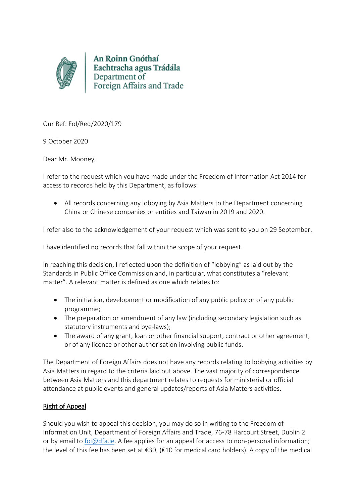

An Roinn Gnóthaí Eachtracha agus Trádála Department of Foreign Affairs and Trade

Our Ref: FoI/Req/2020/179

9 October 2020

Dear Mr. Mooney,

I refer to the request which you have made under the Freedom of Information Act 2014 for access to records held by this Department, as follows:

 All records concerning any lobbying by Asia Matters to the Department concerning China or Chinese companies or entities and Taiwan in 2019 and 2020.

I refer also to the acknowledgement of your request which was sent to you on 29 September.

I have identified no records that fall within the scope of your request.

In reaching this decision, I reflected upon the definition of "lobbying" as laid out by the Standards in Public Office Commission and, in particular, what constitutes a "relevant matter". A relevant matter is defined as one which relates to:

- The initiation, development or modification of any public policy or of any public programme;
- The preparation or amendment of any law (including secondary legislation such as statutory instruments and bye-laws);
- The award of any grant, loan or other financial support, contract or other agreement, or of any licence or other authorisation involving public funds.

The Department of Foreign Affairs does not have any records relating to lobbying activities by Asia Matters in regard to the criteria laid out above. The vast majority of correspondence between Asia Matters and this department relates to requests for ministerial or official attendance at public events and general updates/reports of Asia Matters activities.

## Right of Appeal

Should you wish to appeal this decision, you may do so in writing to the Freedom of Information Unit, Department of Foreign Affairs and Trade, 76-78 Harcourt Street, Dublin 2 or by email to [foi@dfa.ie.](mailto:foi@dfa.ie) A fee applies for an appeal for access to non-personal information; the level of this fee has been set at  $\epsilon$ 30, ( $\epsilon$ 10 for medical card holders). A copy of the medical